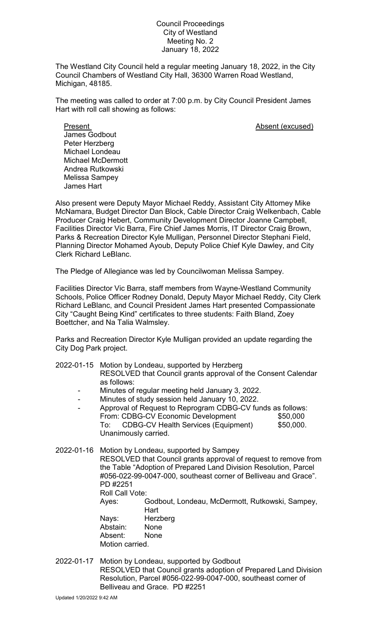## Council Proceedings City of Westland Meeting No. 2 January 18, 2022

The Westland City Council held a regular meeting January 18, 2022, in the City Council Chambers of Westland City Hall, 36300 Warren Road Westland, Michigan, 48185.

The meeting was called to order at 7:00 p.m. by City Council President James Hart with roll call showing as follows:

Present **Absent** (excused) James Godbout Peter Herzberg Michael Londeau Michael McDermott Andrea Rutkowski Melissa Sampey James Hart

Also present were Deputy Mayor Michael Reddy, Assistant City Attorney Mike McNamara, Budget Director Dan Block, Cable Director Craig Welkenbach, Cable Producer Craig Hebert, Community Development Director Joanne Campbell, Facilities Director Vic Barra, Fire Chief James Morris, IT Director Craig Brown, Parks & Recreation Director Kyle Mulligan, Personnel Director Stephani Field, Planning Director Mohamed Ayoub, Deputy Police Chief Kyle Dawley, and City Clerk Richard LeBlanc.

The Pledge of Allegiance was led by Councilwoman Melissa Sampey.

Facilities Director Vic Barra, staff members from Wayne-Westland Community Schools, Police Officer Rodney Donald, Deputy Mayor Michael Reddy, City Clerk Richard LeBlanc, and Council President James Hart presented Compassionate City "Caught Being Kind" certificates to three students: Faith Bland, Zoey Boettcher, and Na Talia Walmsley.

Parks and Recreation Director Kyle Mulligan provided an update regarding the City Dog Park project.

- 2022-01-15 Motion by Londeau, supported by Herzberg RESOLVED that Council grants approval of the Consent Calendar as follows: - Minutes of regular meeting held January 3, 2022. - Minutes of study session held January 10, 2022. Approval of Request to Reprogram CDBG-CV funds as follows: From: CDBG-CV Economic Development \$50,000
	- To: CDBG-CV Health Services (Equipment) \$50,000. Unanimously carried.

2022-01-16 Motion by Londeau, supported by Sampey RESOLVED that Council grants approval of request to remove from the Table "Adoption of Prepared Land Division Resolution, Parcel #056-022-99-0047-000, southeast corner of Belliveau and Grace". PD #2251 Roll Call Vote: Ayes: Godbout, Londeau, McDermott, Rutkowski, Sampey, Hart Nays: Herzberg Abstain: None Absent: None Motion carried.

2022-01-17 Motion by Londeau, supported by Godbout RESOLVED that Council grants adoption of Prepared Land Division Resolution, Parcel #056-022-99-0047-000, southeast corner of Belliveau and Grace. PD #2251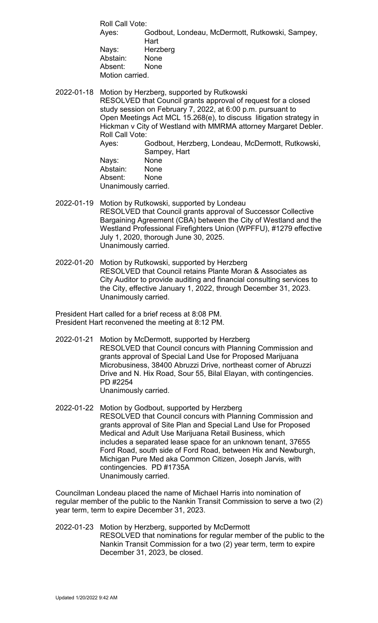Roll Call Vote: Ayes: Godbout, Londeau, McDermott, Rutkowski, Sampey, **Hart** Nays: Herzberg Abstain: None Absent: None Motion carried.

2022-01-18 Motion by Herzberg, supported by Rutkowski RESOLVED that Council grants approval of request for a closed study session on February 7, 2022, at 6:00 p.m. pursuant to Open Meetings Act MCL 15.268(e), to discuss litigation strategy in Hickman v City of Westland with MMRMA attorney Margaret Debler. Roll Call Vote: Ayes: Godbout, Herzberg, Londeau, McDermott, Rutkowski, Sampey, Hart<br>None

Nays: Abstain: None Absent: None Unanimously carried.

- 2022-01-19 Motion by Rutkowski, supported by Londeau RESOLVED that Council grants approval of Successor Collective Bargaining Agreement (CBA) between the City of Westland and the Westland Professional Firefighters Union (WPFFU), #1279 effective July 1, 2020, thorough June 30, 2025. Unanimously carried.
- 2022-01-20 Motion by Rutkowski, supported by Herzberg RESOLVED that Council retains Plante Moran & Associates as City Auditor to provide auditing and financial consulting services to the City, effective January 1, 2022, through December 31, 2023. Unanimously carried.

President Hart called for a brief recess at 8:08 PM. President Hart reconvened the meeting at 8:12 PM.

- 2022-01-21 Motion by McDermott, supported by Herzberg RESOLVED that Council concurs with Planning Commission and grants approval of Special Land Use for Proposed Marijuana Microbusiness, 38400 Abruzzi Drive, northeast corner of Abruzzi Drive and N. Hix Road, Sour 55, Bilal Elayan, with contingencies. PD #2254 Unanimously carried.
- 2022-01-22 Motion by Godbout, supported by Herzberg RESOLVED that Council concurs with Planning Commission and grants approval of Site Plan and Special Land Use for Proposed Medical and Adult Use Marijuana Retail Business, which includes a separated lease space for an unknown tenant, 37655 Ford Road, south side of Ford Road, between Hix and Newburgh, Michigan Pure Med aka Common Citizen, Joseph Jarvis, with contingencies. PD #1735A Unanimously carried.

Councilman Londeau placed the name of Michael Harris into nomination of regular member of the public to the Nankin Transit Commission to serve a two (2) year term, term to expire December 31, 2023.

2022-01-23 Motion by Herzberg, supported by McDermott RESOLVED that nominations for regular member of the public to the Nankin Transit Commission for a two (2) year term, term to expire December 31, 2023, be closed.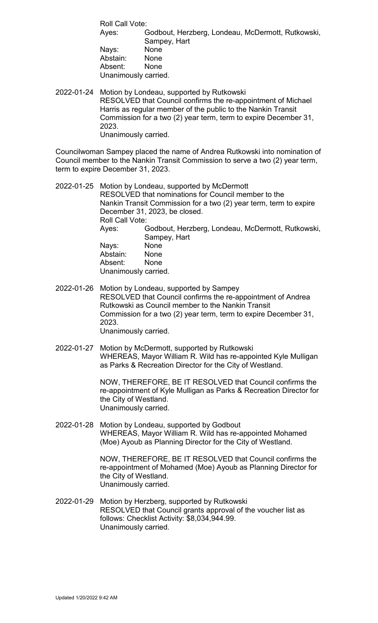Roll Call Vote: Ayes: Godbout, Herzberg, Londeau, McDermott, Rutkowski, Sampey, Hart Nays: None Abstain: None Absent: None Unanimously carried.

2022-01-24 Motion by Londeau, supported by Rutkowski RESOLVED that Council confirms the re-appointment of Michael Harris as regular member of the public to the Nankin Transit Commission for a two (2) year term, term to expire December 31, 2023. Unanimously carried.

Councilwoman Sampey placed the name of Andrea Rutkowski into nomination of Council member to the Nankin Transit Commission to serve a two (2) year term, term to expire December 31, 2023.

- 2022-01-25 Motion by Londeau, supported by McDermott RESOLVED that nominations for Council member to the Nankin Transit Commission for a two (2) year term, term to expire December 31, 2023, be closed. Roll Call Vote: Ayes: Godbout, Herzberg, Londeau, McDermott, Rutkowski, Sampey, Hart Nays: None<br>Abstain: None Abstain: None<br>Absent: None Absent: Unanimously carried.
- 2022-01-26 Motion by Londeau, supported by Sampey RESOLVED that Council confirms the re-appointment of Andrea Rutkowski as Council member to the Nankin Transit Commission for a two (2) year term, term to expire December 31, 2023. Unanimously carried.
- 2022-01-27 Motion by McDermott, supported by Rutkowski WHEREAS, Mayor William R. Wild has re-appointed Kyle Mulligan as Parks & Recreation Director for the City of Westland.

NOW, THEREFORE, BE IT RESOLVED that Council confirms the re-appointment of Kyle Mulligan as Parks & Recreation Director for the City of Westland. Unanimously carried.

2022-01-28 Motion by Londeau, supported by Godbout WHEREAS, Mayor William R. Wild has re-appointed Mohamed (Moe) Ayoub as Planning Director for the City of Westland.

> NOW, THEREFORE, BE IT RESOLVED that Council confirms the re-appointment of Mohamed (Moe) Ayoub as Planning Director for the City of Westland. Unanimously carried.

2022-01-29 Motion by Herzberg, supported by Rutkowski RESOLVED that Council grants approval of the voucher list as follows: Checklist Activity: \$8,034,944.99. Unanimously carried.